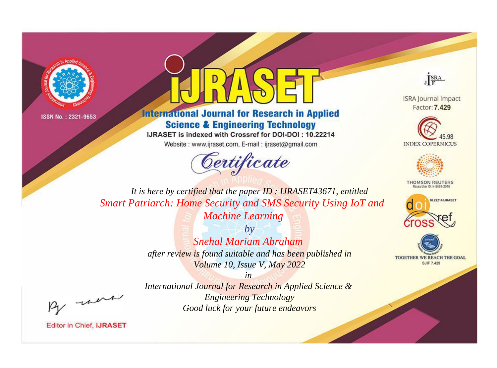



## **International Journal for Research in Applied Science & Engineering Technology**

IJRASET is indexed with Crossref for DOI-DOI: 10.22214

Website: www.ijraset.com, E-mail: ijraset@gmail.com



JERA

**ISRA Journal Impact** Factor: 7.429





**THOMSON REUTERS** 



TOGETHER WE REACH THE GOAL **SJIF 7.429** 

It is here by certified that the paper ID: IJRASET43671, entitled **Smart Patriarch: Home Security and SMS Security Using IoT and Machine Learning** 

> $b\nu$ **Snehal Mariam Abraham** after review is found suitable and has been published in Volume 10, Issue V, May 2022

were

International Journal for Research in Applied Science & **Engineering Technology** Good luck for your future endeavors

 $in$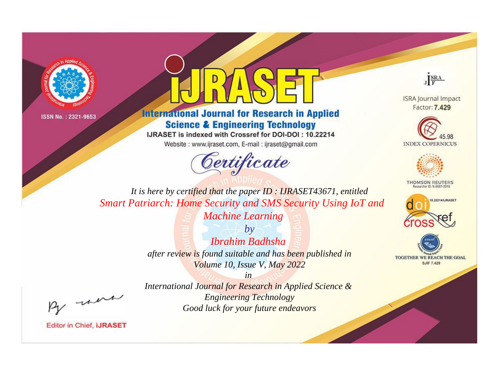



**International Journal for Research in Applied Science & Engineering Technology** 

IJRASET is indexed with Crossref for DOI-DOI: 10.22214

Website: www.ijraset.com, E-mail: ijraset@gmail.com



JERA

**ISRA Journal Impact** Factor: 7.429





**THOMSON REUTERS** 



TOGETHER WE REACH THE GOAL **SJIF 7.429** 

It is here by certified that the paper ID: IJRASET43671, entitled **Smart Patriarch: Home Security and SMS Security Using IoT and Machine Learning** 

> $b\nu$ Ibrahim Badhsha after review is found suitable and has been published in Volume 10, Issue V, May 2022

> > $in$

International Journal for Research in Applied Science & **Engineering Technology** Good luck for your future endeavors

were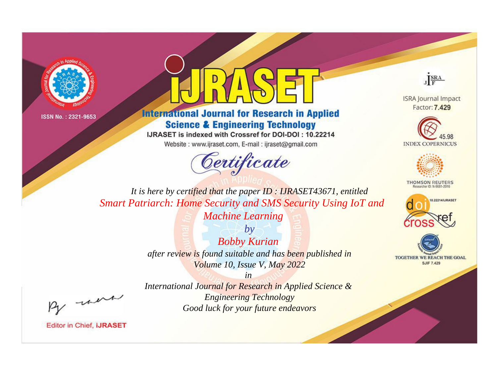



**International Journal for Research in Applied Science & Engineering Technology** 

IJRASET is indexed with Crossref for DOI-DOI: 10.22214

Website: www.ijraset.com, E-mail: ijraset@gmail.com



JERA

**ISRA Journal Impact** Factor: 7.429





**THOMSON REUTERS** 



TOGETHER WE REACH THE GOAL **SJIF 7.429** 

It is here by certified that the paper ID: IJRASET43671, entitled **Smart Patriarch: Home Security and SMS Security Using IoT and Machine Learning** 

> $b\nu$ **Bobby Kurian** after review is found suitable and has been published in Volume 10, Issue V, May 2022

were

International Journal for Research in Applied Science & **Engineering Technology** Good luck for your future endeavors

 $in$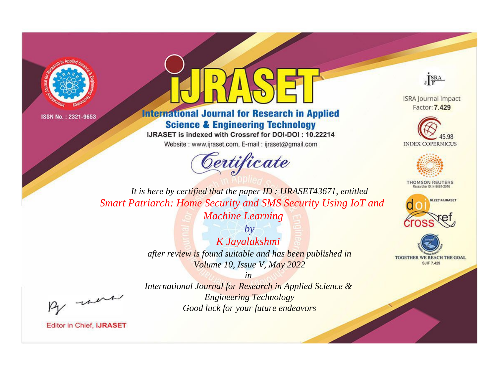



**International Journal for Research in Applied Science & Engineering Technology** 

IJRASET is indexed with Crossref for DOI-DOI: 10.22214

Website: www.ijraset.com, E-mail: ijraset@gmail.com



JERA

**ISRA Journal Impact** Factor: 7.429





**THOMSON REUTERS** 



TOGETHER WE REACH THE GOAL **SJIF 7.429** 

It is here by certified that the paper ID: IJRASET43671, entitled **Smart Patriarch: Home Security and SMS Security Using IoT and Machine Learning** 

> $by$ K Jayalakshmi after review is found suitable and has been published in Volume 10, Issue V, May 2022

were

International Journal for Research in Applied Science & **Engineering Technology** Good luck for your future endeavors

 $in$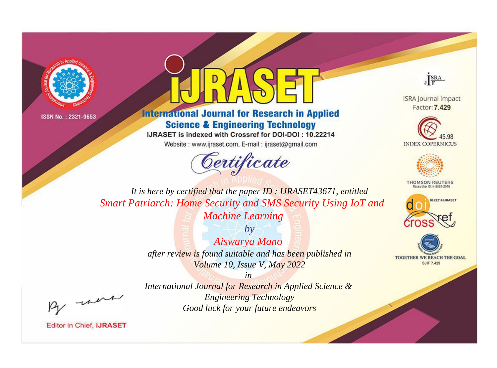



## **International Journal for Research in Applied Science & Engineering Technology**

IJRASET is indexed with Crossref for DOI-DOI: 10.22214

Website: www.ijraset.com, E-mail: ijraset@gmail.com



JERA

**ISRA Journal Impact** Factor: 7.429





**THOMSON REUTERS** 



TOGETHER WE REACH THE GOAL **SJIF 7.429** 

It is here by certified that the paper ID: IJRASET43671, entitled **Smart Patriarch: Home Security and SMS Security Using IoT and Machine Learning** 

> $b\nu$ Aiswarya Mano after review is found suitable and has been published in Volume 10, Issue V, May 2022

> > $in$

were

International Journal for Research in Applied Science & **Engineering Technology** Good luck for your future endeavors